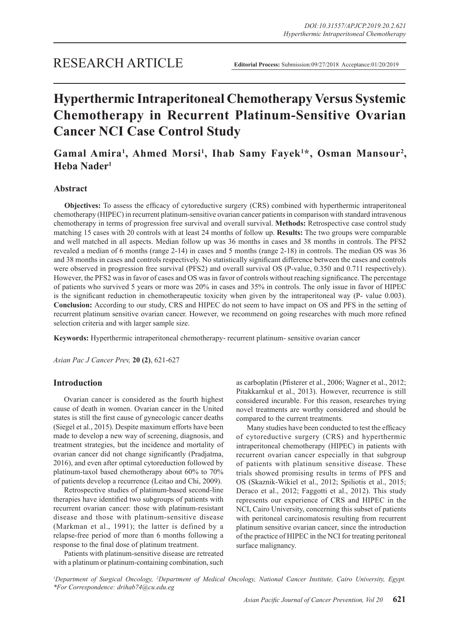# **Hyperthermic Intraperitoneal Chemotherapy Versus Systemic Chemotherapy in Recurrent Platinum-Sensitive Ovarian Cancer NCI Case Control Study**

# Gamal Amira<sup>1</sup>, Ahmed Morsi<sup>1</sup>, Ihab Samy Fayek<sup>1\*</sup>, Osman Mansour<sup>2</sup>, **Heba Nader1**

# **Abstract**

**Objectives:** To assess the efficacy of cytoreductive surgery (CRS) combined with hyperthermic intraperitoneal chemotherapy (HIPEC) in recurrent platinum-sensitive ovarian cancer patients in comparison with standard intravenous chemotherapy in terms of progression free survival and overall survival. **Methods:** Retrospective case control study matching 15 cases with 20 controls with at least 24 months of follow up. **Results:** The two groups were comparable and well matched in all aspects. Median follow up was 36 months in cases and 38 months in controls. The PFS2 revealed a median of 6 months (range 2-14) in cases and 5 months (range 2-18) in controls. The median OS was 36 and 38 months in cases and controls respectively. No statistically significant difference between the cases and controls were observed in progression free survival (PFS2) and overall survival OS (P-value, 0.350 and 0.711 respectively). However, the PFS2 was in favor of cases and OS was in favor of controls without reaching significance. The percentage of patients who survived 5 years or more was 20% in cases and 35% in controls. The only issue in favor of HIPEC is the significant reduction in chemotherapeutic toxicity when given by the intraperitoneal way (P- value 0.003). **Conclusion:** According to our study, CRS and HIPEC do not seem to have impact on OS and PFS in the setting of recurrent platinum sensitive ovarian cancer. However, we recommend on going researches with much more refined selection criteria and with larger sample size.

**Keywords:** Hyperthermic intraperitoneal chemotherapy- recurrent platinum- sensitive ovarian cancer

*Asian Pac J Cancer Prev,* **20 (2)**, 621-627

# **Introduction**

Ovarian cancer is considered as the fourth highest cause of death in women. Ovarian cancer in the United states is still the first cause of gynecologic cancer deaths (Siegel et al., 2015). Despite maximum efforts have been made to develop a new way of screening, diagnosis, and treatment strategies, but the incidence and mortality of ovarian cancer did not change significantly (Pradjatma, 2016), and even after optimal cytoreduction followed by platinum-taxol based chemotherapy about 60% to 70% of patients develop a recurrence (Leitao and Chi, 2009).

Retrospective studies of platinum-based second-line therapies have identified two subgroups of patients with recurrent ovarian cancer: those with platinum-resistant disease and those with platinum-sensitive disease (Markman et al., 1991); the latter is defined by a relapse-free period of more than 6 months following a response to the final dose of platinum treatment.

Patients with platinum-sensitive disease are retreated with a platinum or platinum-containing combination, such as carboplatin (Pfisterer et al., 2006; Wagner et al., 2012; Pitakkarnkul et al., 2013). However, recurrence is still considered incurable. For this reason, researches trying novel treatments are worthy considered and should be compared to the current treatments.

Many studies have been conducted to test the efficacy of cytoreductive surgery (CRS) and hyperthermic intraperitoneal chemotherapy (HIPEC) in patients with recurrent ovarian cancer especially in that subgroup of patients with platinum sensitive disease. These trials showed promising results in terms of PFS and OS (Skaznik-Wikiel et al., 2012; Spiliotis et al., 2015; Deraco et al., 2012; Faggotti et al., 2012). This study represents our experience of CRS and HIPEC in the NCI, Cairo University, concerning this subset of patients with peritoneal carcinomatosis resulting from recurrent platinum sensitive ovarian cancer, since the introduction of the practice of HIPEC in the NCI for treating peritoneal surface malignancy.

<sup>*I*</sup> Department of Surgical Oncology, <sup>2</sup>Department of Medical Oncology, National Cancer Institute, Cairo University, Egypt. *\*For Correspondence: drihab74@cu.edu.eg*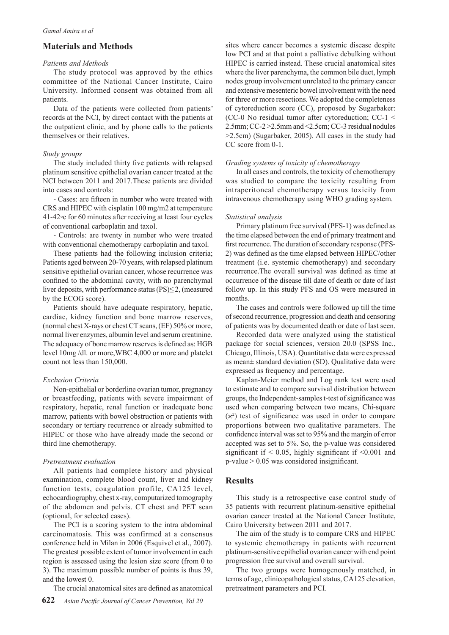# **Materials and Methods**

#### *Patients and Methods*

The study protocol was approved by the ethics committee of the National Cancer Institute, Cairo University. Informed consent was obtained from all patients.

Data of the patients were collected from patients' records at the NCI, by direct contact with the patients at the outpatient clinic, and by phone calls to the patients themselves or their relatives.

#### *Study groups*

The study included thirty five patients with relapsed platinum sensitive epithelial ovarian cancer treated at the NCI between 2011 and 2017.These patients are divided into cases and controls:

- Cases: are fifteen in number who were treated with CRS and HIPEC with cisplatin 100 mg/m2 at temperature 41-42◦c for 60 minutes after receiving at least four cycles of conventional carboplatin and taxol.

- Controls: are twenty in number who were treated with conventional chemotherapy carboplatin and taxol.

These patients had the following inclusion criteria; Patients aged between 20-70 years, with relapsed platinum sensitive epithelial ovarian cancer, whose recurrence was confined to the abdominal cavity, with no parenchymal liver deposits, with performance status  $(PS) \leq 2$ , (measured by the ECOG score).

Patients should have adequate respiratory, hepatic, cardiac, kidney function and bone marrow reserves, (normal chest X-rays or chest CT scans, (EF) 50% or more, normal liver enzymes, albumin level and serum creatinine. The adequacy of bone marrow reserves is defined as: HGB level 10mg /dl. or more,WBC 4,000 or more and platelet count not less than 150,000.

# *Exclusion Criteria*

Non-epithelial or borderline ovarian tumor, pregnancy or breastfeeding, patients with severe impairment of respiratory, hepatic, renal function or inadequate bone marrow, patients with bowel obstruction or patients with secondary or tertiary recurrence or already submitted to HIPEC or those who have already made the second or third line chemotherapy.

#### *Pretreatment evaluation*

All patients had complete history and physical examination, complete blood count, liver and kidney function tests, coagulation profile, CA125 level, echocardiography, chest x-ray, computarized tomography of the abdomen and pelvis. CT chest and PET scan (optional, for selected cases).

The PCI is a scoring system to the intra abdominal carcinomatosis. This was confirmed at a consensus conference held in Milan in 2006 (Esquivel et al., 2007). The greatest possible extent of tumor involvement in each region is assessed using the lesion size score (from 0 to 3). The maximum possible number of points is thus 39, and the lowest 0.

The crucial anatomical sites are defined as anatomical

sites where cancer becomes a systemic disease despite low PCI and at that point a palliative debulking without HIPEC is carried instead. These crucial anatomical sites where the liver parenchyma, the common bile duct, lymph nodes group involvement unrelated to the primary cancer and extensive mesenteric bowel involvement with the need for three or more resections. We adopted the completeness of cytoreduction score (CC), proposed by Sugarbaker: (CC-0 No residual tumor after cytoreduction; CC-1 < 2.5mm; CC-2 >2.5mm and <2.5cm; CC-3 residual nodules >2.5cm) (Sugarbaker, 2005). All cases in the study had CC score from 0-1.

#### *Grading systems of toxicity of chemotherapy*

In all cases and controls, the toxicity of chemotherapy was studied to compare the toxicity resulting from intraperitoneal chemotherapy versus toxicity from intravenous chemotherapy using WHO grading system.

#### *Statistical analysis*

Primary platinum free survival (PFS-1) was defined as the time elapsed between the end of primary treatment and first recurrence. The duration of secondary response (PFS-2) was defined as the time elapsed between HIPEC/other treatment (i.e. systemic chemotherapy) and secondary recurrence.The overall survival was defined as time at occurrence of the disease till date of death or date of last follow up. In this study PFS and OS were measured in months.

The cases and controls were followed up till the time of second recurrence, progression and death and censoring of patients was by documented death or date of last seen.

Recorded data were analyzed using the statistical package for social sciences, version 20.0 (SPSS Inc., Chicago, Illinois, USA). Quantitative data were expressed as mean± standard deviation (SD). Qualitative data were expressed as frequency and percentage.

Kaplan-Meier method and Log rank test were used to estimate and to compare survival distribution between groups, the Independent-samples t-test of significance was used when comparing between two means, Chi-square  $(x<sup>2</sup>)$  test of significance was used in order to compare proportions between two qualitative parameters. The confidence interval was set to 95% and the margin of error accepted was set to 5%. So, the p-value was considered significant if  $\leq 0.05$ , highly significant if  $\leq 0.001$  and  $p$ -value  $> 0.05$  was considered insignificant.

## **Results**

This study is a retrospective case control study of 35 patients with recurrent platinum-sensitive epithelial ovarian cancer treated at the National Cancer Institute, Cairo University between 2011 and 2017.

The aim of the study is to compare CRS and HIPEC to systemic chemotherapy in patients with recurrent platinum-sensitive epithelial ovarian cancer with end point progression free survival and overall survival.

The two groups were homogenously matched, in terms of age, clinicopathological status, CA125 elevation, pretreatment parameters and PCI.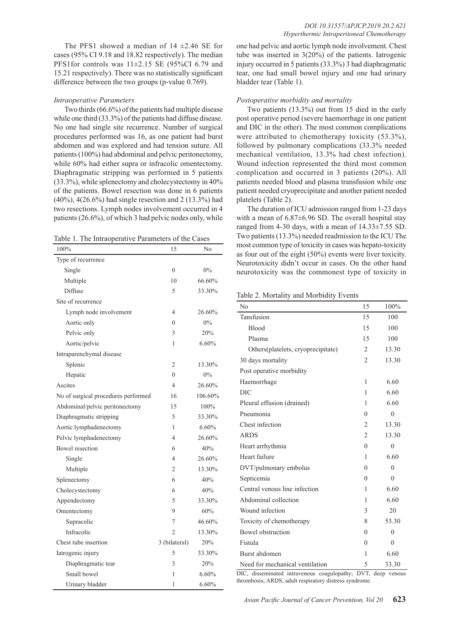The PFS1 showed a median of  $14 \pm 2.46$  SE for cases (95% CI 9.18 and 18.82 respectively). The median PFS1for controls was 11±2.15 SE (95%CI 6.79 and 15.21 respectively). There was no statistically significant difference between the two groups (p-value 0.769).

#### *Intraoperative Parameters*

Two thirds (66.6%) of the patients had multiple disease while one third (33.3%) of the patients had diffuse disease. No one had single site recurrence. Number of surgical procedures performed was 16, as one patient had burst abdomen and was explored and had tension suture. All patients (100%) had abdominal and pelvic peritonectomy, while 60% had either supra or infracolic omentectomy. Diaphragmatic stripping was performed in 5 patients (33.3%), while splenectomy and cholecystectomy in 40% of the patients. Bowel resection was done in 6 patients (40%), 4(26.6%) had single resection and 2 (13.3%) had two resections. Lymph nodes involvement occurred in 4 patients (26.6%), of which 3 had pelvic nodes only, while

Table 1. The Intraoperative Parameters of the Cases

| 100%                                | 15             | No      |
|-------------------------------------|----------------|---------|
| Type of recurrence                  |                |         |
| Single                              | $\theta$       | $0\%$   |
| Multiple                            | 10             | 66.60%  |
| Diffuse                             | 5              | 33.30%  |
| Site of recurrence                  |                |         |
| Lymph node involvement              | 4              | 26.60%  |
| Aortic only                         | $\theta$       | $0\%$   |
| Pelvic only                         | 3              | 20%     |
| Aortic/pelvic                       | 1              | 6.60%   |
| Intraparenchymal disease            |                |         |
| Splenic                             | $\overline{c}$ | 13.30%  |
| Hepatic                             | $\theta$       | $0\%$   |
| Ascites                             | 4              | 26.60%  |
| No of surgical procedures performed | 16             | 106.60% |
| Abdominal/pelvic peritonectomy      | 15             | 100%    |
| Diaphragmatic stripping             | 5              | 33.30%  |
| Aortic lymphadenectomy              | 1              | 6.60%   |
| Pelvic lymphadenectomy              | 4              | 26.60%  |
| <b>Bowel</b> resection              | 6              | 40%     |
| Single                              | 4              | 26.60%  |
| Multiple                            | 2              | 13.30%  |
| Splenectomy                         | 6              | 40%     |
| Cholecystectomy                     | 6              | 40%     |
| Appendectomy                        | 5              | 33.30%  |
| Omentectomy                         | 9              | 60%     |
| Supracolic                          | 7              | 46.60%  |
| Infracolic                          | 2              | 13.30%  |
| Chest tube insertion                | 3 (bilateral)  | 20%     |
| Iatrogenic injury                   | 5              | 33.30%  |
| Diaphragmatic tear                  | 3              | 20%     |
| Small bowel                         | 1              | 6.60%   |
| Urinary bladder                     | 1              | 6.60%   |

one had pelvic and aortic lymph node involvement. Chest tube was inserted in 3(20%) of the patients. Iatrogenic injury occurred in 5 patients (33.3%) 3 had diaphragmatic tear, one had small bowel injury and one had urinary bladder tear (Table 1).

#### *Postoperative morbidity and mortality*

Two patients (13.3%) out from 15 died in the early post operative period (severe haemorrhage in one patient and DIC in the other). The most common complications were attributed to chemotherapy toxicity (53.3%), followed by pulmonary complications (33.3% needed mechanical ventilation, 13.3% had chest infection). Wound infection represented the third most common complication and occurred in 3 patients (20%). All patients needed blood and plasma transfusion while one patient needed cryoprecipitate and another patient needed platelets (Table 2).

The duration of ICU admission ranged from 1-23 days with a mean of  $6.87\pm6.96$  SD. The overall hospital stay ranged from 4-30 days, with a mean of 14.33±7.55 SD. Two patients (13.3%) needed readmission to the ICU The most common type of toxicity in cases was hepato-toxicity as four out of the eight (50%) events were liver toxicity. Neurotoxicity didn't occur in cases. On the other hand neurotoxicity was the commonest type of toxicity in

Table 2. Mortality and Morbidity Events

| No                                 | 15             | 100%           |
|------------------------------------|----------------|----------------|
| Tansfusion                         | 15             | 100            |
| Blood                              | 15             | 100            |
| Plasma                             | 15             | 100            |
| Others(platelets, cryoprecipitate) | $\overline{2}$ | 13.30          |
| 30 days mortality                  | $\overline{2}$ | 13.30          |
| Post operative morbidity           |                |                |
| Haemorrhage                        | 1              | 6.60           |
| <b>DIC</b>                         | 1              | 6.60           |
| Pleural effusion (drained)         | $\mathbf{1}$   | 6.60           |
| Pneumonia                          | $\theta$       | $\theta$       |
| Chest infection                    | $\overline{c}$ | 13.30          |
| <b>ARDS</b>                        | $\overline{c}$ | 13.30          |
| Heart arrhythmia                   | $\theta$       | $\theta$       |
| Heart failure                      | 1              | 6.60           |
| DVT/pulmonary embolus              | $\theta$       | $\theta$       |
| Septicemia                         | $\theta$       | $\theta$       |
| Central venous line infection      | 1              | 6.60           |
| Abdominal collection               | 1              | 6.60           |
| Wound infection                    | 3              | 20             |
| Toxicity of chemotherapy           | 8              | 53.30          |
| <b>Bowel</b> obstruction           | $\theta$       | $\overline{0}$ |
| Fistula                            | $\theta$       | $\theta$       |
| Burst abdomen                      | 1              | 6.60           |
| Need for mechanical ventilation    | 5              | 33.30          |

DIC, disseminated intravenous coagulopathy; DVT, deep venous thrombosis; ARDS, adult respiratory distress syndrome.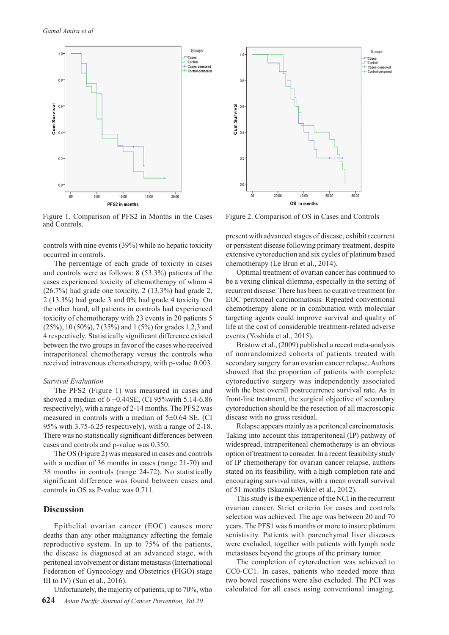

Figure 1. Comparison of PFS2 in Months in the Cases and Controls.

controls with nine events (39%) while no hepatic toxicity occurred in controls.

The percentage of each grade of toxicity in cases and controls were as follows: 8 (53.3%) patients of the cases experienced toxicity of chemotherapy of whom 4 (26.7%) had grade one toxicity, 2 (13.3%) had grade 2, 2 (13.3%) had grade 3 and 0% had grade 4 toxicity. On the other hand, all patients in controls had experienced toxicity of chemotherapy with 23 events in 20 patients 5 (25%), 10 (50%), 7 (35%) and 1 (5%) for grades 1,2,3 and 4 respectively. Statistically significant difference existed between the two groups in favor of the cases who received intraperitoneal chemotherapy versus the controls who received intravenous chemotherapy, with p-value 0.003

#### *Survival Evaluation*

The PFS2 (Figure 1) was measured in cases and showed a median of  $6 \pm 0.44$ SE, (CI 95%with 5.14-6.86) respectively), with a range of 2-14 months. The PFS2 was measured in controls with a median of  $5\pm0.64$  SE, (CI 95% with 3.75-6.25 respectively), with a range of 2-18. There was no statistically significant differences between cases and controls and p-value was 0.350.

The OS (Figure 2) was measured in cases and controls with a median of 36 months in cases (range 21-70) and 38 months in controls (range 24-72). No statistically significant difference was found between cases and controls in OS as P-value was 0.711.

## **Discussion**

Epithelial ovarian cancer (EOC) causes more deaths than any other malignancy affecting the female reproductive system. In up to 75% of the patients, the disease is diagnosed at an advanced stage, with peritoneal involvement or distant metastasis (International Federation of Gynecology and Obstetrics (FIGO) stage III to IV) (Sun et al., 2016).

Unfortunately, the majority of patients, up to 70%, who



Figure 2. Comparison of OS in Cases and Controls

present with advanced stages of disease, exhibit recurrent or persistent disease following primary treatment, despite extensive cytoreduction and six cycles of platinum based chemotherapy (Le Brun et al., 2014).

Optimal treatment of ovarian cancer has continued to be a vexing clinical dilemma, especially in the setting of recurrent disease. There has been no curative treatment for EOC peritoneal carcinomatosis. Repeated conventional chemotherapy alone or in combination with molecular targeting agents could improve survival and quality of life at the cost of considerable treatment-related adverse events (Yoshida et al., 2015).

Bristow et al., (2009) published a recent meta-analysis of nonrandomized cohorts of patients treated with secondary surgery for an ovarian cancer relapse. Authors showed that the proportion of patients with complete cytoreductive surgery was independently associated with the best overall postrecurrence survival rate. As in front-line treatment, the surgical objective of secondary cytoreduction should be the resection of all macroscopic disease with no gross residual.

Relapse appears mainly as a peritoneal carcinomatosis. Taking into account this intraperitoneal (IP) pathway of widespread, intraperitoneal chemotherapy is an obvious option of treatment to consider. In a recent feasibility study of IP chemotherapy for ovarian cancer relapse, authors stated on its feasibility, with a high completion rate and encouraging survival rates, with a mean overall survival of 51 months (Skaznik-Wikiel et al., 2012).

This study is the experience of the NCI in the recurrent ovarian cancer. Strict criteria for cases and controls selection was achieved. The age was between 20 and 70 years. The PFS1 was 6 months or more to insure platinum senistivity. Patients with parenchymal liver diseases were excluded, together with patients with lymph node metastases beyond the groups of the primary tumor.

The completion of cytoreduction was achieved to CC0-CC1. In cases, patients who needed more than two bowel resections were also excluded. The PCI was calculated for all cases using conventional imaging.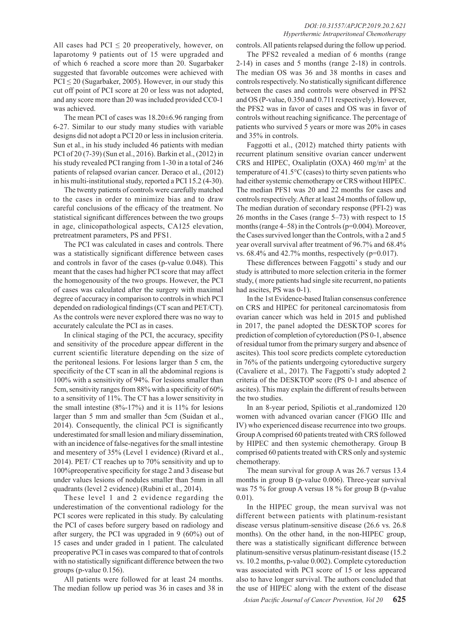All cases had  $PCI \leq 20$  preoperatively, however, on laparotomy 9 patients out of 15 were upgraded and of which 6 reached a score more than 20. Sugarbaker suggested that favorable outcomes were achieved with  $PCI \leq 20$  (Sugarbaker, 2005). However, in our study this cut off point of PCI score at 20 or less was not adopted, and any score more than 20 was included provided CC0-1 was achieved.

The mean PCI of cases was 18.20±6.96 ranging from 6-27. Similar to our study many studies with variable designs did not adopt a PCI 20 or less in inclusion criteria. Sun et al., in his study included 46 patients with median PCI of 20 (7-39) (Sun et al., 2016). Barkin et al., (2012) in his study revealed PCI ranging from 1-30 in a total of 246 patients of relapsed ovarian cancer. Deraco et al., (2012) in his multi-institutional study, reported a PCI 15.2 (4-30).

The twenty patients of controls were carefully matched to the cases in order to minimize bias and to draw careful conclusions of the efficacy of the treatment. No statistical significant differences between the two groups in age, clinicopathological aspects, CA125 elevation, pretreatment parameters, PS and PFS1.

The PCI was calculated in cases and controls. There was a statistically significant difference between cases and controls in favor of the cases (p-value 0.048). This meant that the cases had higher PCI score that may affect the homogenousity of the two groups. However, the PCI of cases was calculated after the surgery with maximal degree of accuracy in comparison to controls in which PCI depended on radiological findings (CT scan and PET/CT). As the controls were never explored there was no way to accurately calculate the PCI as in cases.

In clinical staging of the PCI, the accuracy, specifity and sensitivity of the procedure appear different in the current scientific literature depending on the size of the peritoneal lesions. For lesions larger than 5 cm, the specificity of the CT scan in all the abdominal regions is 100% with a sensitivity of 94%. For lesions smaller than 5cm, sensitivity ranges from 88% with a specificity of 60% to a sensitivity of 11%. The CT has a lower sensitivity in the small intestine  $(8\% - 17\%)$  and it is 11% for lesions larger than 5 mm and smaller than 5cm (Suidan et al., 2014). Consequently, the clinical PCI is significantly underestimated for small lesion and miliary dissemination, with an incidence of false-negatives for the small intestine and mesentery of 35% (Level 1 evidence) (Rivard et al., 2014). PET/ CT reaches up to 70% sensitivity and up to 100%preoperative specificity for stage 2 and 3 disease but under values lesions of nodules smaller than 5mm in all quadrants (level 2 evidence) (Rubini et al., 2014).

These level 1 and 2 evidence regarding the underestimation of the conventional radiology for the PCI scores were replicated in this study. By calculating the PCI of cases before surgery based on radiology and after surgery, the PCI was upgraded in 9 (60%) out of 15 cases and under graded in 1 patient. The calculated preoperative PCI in cases was compared to that of controls with no statistically significant difference between the two groups (p-value 0.156).

All patients were followed for at least 24 months. The median follow up period was 36 in cases and 38 in

#### *DOI:10.31557/APJCP.2019.20.2.621 Hyperthermic Intraperitoneal Chemotherapy*

controls. All patients relapsed during the follow up period.

The PFS2 revealed a median of 6 months (range 2-14) in cases and 5 months (range 2-18) in controls. The median OS was 36 and 38 months in cases and controls respectively. No statistically significant difference between the cases and controls were observed in PFS2 and OS (P-value, 0.350 and 0.711 respectively). However, the PFS2 was in favor of cases and OS was in favor of controls without reaching significance. The percentage of patients who survived 5 years or more was 20% in cases and 35% in controls.

Faggotti et al., (2012) matched thirty patients with recurrent platinum sensitive ovarian cancer underwent CRS and HIPEC, Oxaliplatin  $(OXA)$  460 mg/m<sup>2</sup> at the temperature of 41.5°C (cases) to thirty seven patients who had either systemic chemotherapy or CRS without HIPEC. The median PFS1 was 20 and 22 months for cases and controls respectively. After at least 24 months of follow up, The median duration of secondary response (PFI-2) was 26 months in the Cases (range 5–73) with respect to 15 months (range 4–58) in the Controls (p=0.004). Moreover, the Cases survived longer than the Controls, with a 2 and 5 year overall survival after treatment of 96.7% and 68.4% vs.  $68.4\%$  and  $42.7\%$  months, respectively ( $p=0.017$ ).

These differences between Faggotti' s study and our study is attributed to more selection criteria in the former study, ( more patients had single site recurrent, no patients had ascites, PS was 0-1).

In the 1st Evidence-based Italian consensus conference on CRS and HIPEC for peritoneal carcinomatosis from ovarian cancer which was held in 2015 and published in 2017, the panel adopted the DESKTOP scores for prediction of completion of cytoreduction (PS 0-1, absence of residual tumor from the primary surgery and absence of ascites). This tool score predicts complete cytoreduction in 76% of the patients undergoing cytoreductive surgery (Cavaliere et al., 2017). The Faggotti's study adopted 2 criteria of the DESKTOP score (PS 0-1 and absence of ascites). This may explain the different of results between the two studies.

In an 8-year period, Spiliotis et al.,randomized 120 women with advanced ovarian cancer (FIGO IIIc and IV) who experienced disease recurrence into two groups. Group A comprised 60 patients treated with CRS followed by HIPEC and then systemic chemotherapy. Group B comprised 60 patients treated with CRS only and systemic chemotherapy.

The mean survival for group A was 26.7 versus 13.4 months in group B (p-value 0.006). Three-year survival was 75 % for group A versus 18 % for group B (p-value 0.01).

In the HIPEC group, the mean survival was not different between patients with platinum-resistant disease versus platinum-sensitive disease (26.6 vs. 26.8 months). On the other hand, in the non-HIPEC group, there was a statistically significant difference between platinum-sensitive versus platinum-resistant disease (15.2 vs. 10.2 months, p-value 0.002). Complete cytoreduction was associated with PCI score of 15 or less appeared also to have longer survival. The authors concluded that the use of HIPEC along with the extent of the disease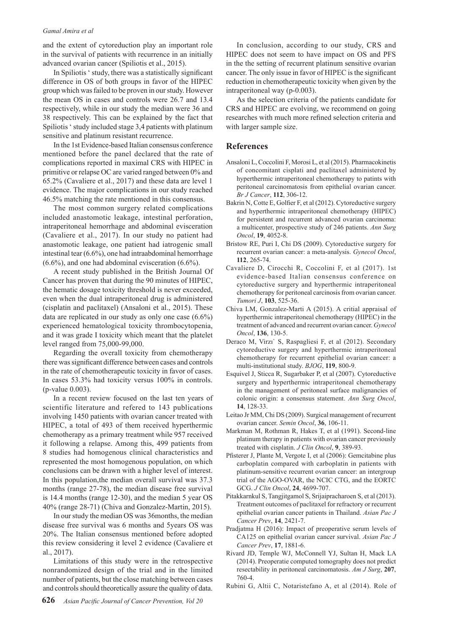#### *Gamal Amira et al*

and the extent of cytoreduction play an important role in the survival of patients with recurrence in an initially advanced ovarian cancer (Spiliotis et al., 2015).

In Spiliotis ' study, there was a statistically significant difference in OS of both groups in favor of the HIPEC group which was failed to be proven in our study. However the mean OS in cases and controls were 26.7 and 13.4 respectively, while in our study the median were 36 and 38 respectively. This can be explained by the fact that Spiliotis ' study included stage 3,4 patients with platinum sensitive and platinum resistant recurrence.

In the 1st Evidence-based Italian consensus conference mentioned before the panel declared that the rate of complications reported in maximal CRS with HIPEC in primitive or relapse OC are varied ranged between 0% and 65.2% (Cavaliere et al., 2017) and these data are level 1 evidence. The major complications in our study reached 46.5% matching the rate mentioned in this consensus.

The most common surgery related complications included anastomotic leakage, intestinal perforation, intraperitoneal hemorrhage and abdominal evisceration (Cavaliere et al., 2017). In our study no patient had anastomotic leakage, one patient had iatrogenic small intestinal tear (6.6%), one had intraabdominal hemorrhage (6.6%), and one had abdominal evisceration (6.6%).

A recent study published in the British Journal Of Cancer has proven that during the 90 minutes of HIPEC, the hematic dosage toxicity threshold is never exceeded, even when the dual intraperitoneal drug is administered (cisplatin and paclitaxel) (Ansaloni et al., 2015). These data are replicated in our study as only one case (6.6%) experienced hematological toxicity thrombocytopenia, and it was grade I toxicity which meant that the platelet level ranged from 75,000-99,000.

Regarding the overall toxicity from chemotherapy there was significant difference between cases and controls in the rate of chemotherapeutic toxicity in favor of cases. In cases 53.3% had toxicity versus 100% in controls. (p-value 0.003).

In a recent review focused on the last ten years of scientific literature and refered to 143 publications involving 1450 patients with ovarian cancer treated with HIPEC, a total of 493 of them received hyperthermic chemotherapy as a primary treatment while 957 received it following a relapse. Among this, 499 patients from 8 studies had homogenous clinical characteristics and represented the most homogenous population, on which conclusions can be drawn with a higher level of interest. In this population,the median overall survival was 37.3 months (range 27-78), the median disease free survival is 14.4 months (range 12-30), and the median 5 year OS 40% (range 28-71) (Chiva and Gonzalez-Martin, 2015).

In our study the median OS was 36months, the median disease free survival was 6 months and 5years OS was 20%. The Italian consensus mentioned before adopted this review considering it level 2 evidence (Cavaliere et al., 2017).

Limitations of this study were in the retrospective nonrandomized design of the trial and in the limited number of patients, but the close matching between cases and controls should theoretically assure the quality of data.

In conclusion, according to our study, CRS and HIPEC does not seem to have impact on OS and PFS in the the setting of recurrent platinum sensitive ovarian cancer. The only issue in favor of HIPEC is the significant reduction in chemotherapeutic toxicity when given by the intraperitoneal way (p-0.003).

As the selection criteria of the patients candidate for CRS and HIPEC are evolving, we recommend on going researches with much more refined selection criteria and with larger sample size.

# **References**

- Ansaloni L, Coccolini F, Morosi L, et al (2015). Pharmacokinetis of concomitant cisplati and paclitaxel administered by hyperthermic intraperitoneal chemotherapy to patints with peritoneal carcinomatosis from epithelial ovarian cancer. *Br J Cancer*, **112**, 306-12.
- Bakrin N, Cotte E, Golfier F, et al (2012). Cytoreductive surgery and hyperthermic intraperitoneal chemotherapy (HIPEC) for persistent and recurrent advanced ovarian carcinoma: a multicenter, prospective study of 246 patients. *Ann Surg Oncol*, **19**, 4052-8.
- Bristow RE, Puri I, Chi DS (2009). Cytoreductive surgery for recurrent ovarian cancer: a meta-analysis. *Gynecol Oncol*, **112**, 265-74.
- Cavaliere D, Cirocchi R, Coccolini F, et al (2017). 1st evidence-based Italian consensus conference on cytoreductive surgery and hyperthermic intraperitoneal chemotherapy for peritoneal carcinosis from ovarian cancer. *Tumori J*, **103**, 525-36.
- Chiva LM, Gonzalez-Marti A (2015). A critial appraisal of hyperthermic intraperitoneal chemotherapy (HIPEC) in the treatment of advanced and recurrent ovarian cancer. *Gynecol Oncol*, **136**, 130-5.
- Deraco M, Virzı` S, Raspagliesi F, et al (2012). Secondary cytoreductive surgery and hyperthermic intraperitoneal chemotherapy for recurrent epithelial ovarian cancer: a multi-institutional study. *BJOG*, **119**, 800-9.
- Esquivel J, Sticca R, Sugarbaker P, et al (2007). Cytoreductive surgery and hyperthermic intraperitoneal chemotherapy in the management of peritoneal surface malignancies of colonic origin: a consensus statement. *Ann Surg Oncol*, **14**, 128-33.
- Leitao Jr MM, Chi DS (2009). Surgical management of recurrent ovarian cancer. *Semin Oncol*, **36**, 106-11.
- Markman M, Rothman R, Hakes T, et al (1991). Second-line platinum therapy in patients with ovarian cancer previously treated with cisplatin. *J Clin Oncol*, **9**, 389-93.
- Pfisterer J, Plante M, Vergote I, et al (2006): Gemcitabine plus carboplatin compared with carboplatin in patients with platinum-sensitive recurrent ovarian cancer: an intergroup trial of the AGO-OVAR, the NCIC CTG, and the EORTC GCG. *J Clin Oncol*, **24**, 4699-707.
- Pitakkarnkul S, Tangjitgamol S, Srijaipracharoen S, et al (2013). Treatment outcomes of paclitaxel for refractory or recurrent epithelial ovarian cancer patients in Thailand. *Asian Pac J Cancer Prev*, **14**, 2421-7.
- Pradjatma H (2016): Impact of preoperative serum levels of CA125 on epithelial ovarian cancer survival. *Asian Pac J Cancer Prev*, **17**, 1881-6.
- Rivard JD, Temple WJ, McConnell YJ, Sultan H, Mack LA (2014). Preoperatie computed tomography does not predict resectability in peritoneal carcinomatosis. *Am J Surg*, **207**, 760-4.
- Rubini G, Altii C, Notaristefano A, et al (2014). Role of